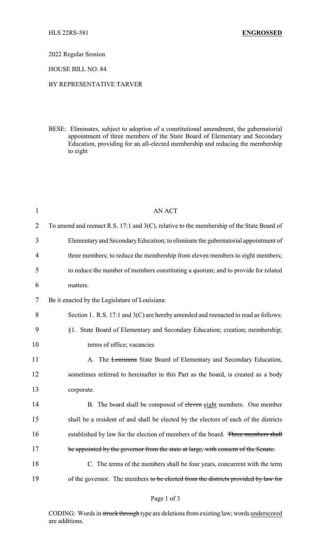2022 Regular Session

HOUSE BILL NO. 84

## BY REPRESENTATIVE TARVER

BESE: Eliminates, subject to adoption of a constitutional amendment, the gubernatorial appointment of three members of the State Board of Elementary and Secondary Education, providing for an all-elected membership and reducing the membership to eight

| $\mathbf{1}$   | <b>AN ACT</b>                                                                                |  |  |
|----------------|----------------------------------------------------------------------------------------------|--|--|
| $\overline{2}$ | To amend and reenact R.S. 17:1 and $3(C)$ , relative to the membership of the State Board of |  |  |
| 3              | Elementary and Secondary Education; to eliminate the gubernatorial appointment of            |  |  |
| $\overline{4}$ | three members; to reduce the membership from eleven members to eight members;                |  |  |
| 5              | to reduce the number of members constituting a quorum; and to provide for related            |  |  |
| 6              | matters.                                                                                     |  |  |
| 7              | Be it enacted by the Legislature of Louisiana:                                               |  |  |
| 8              | Section 1. R.S. 17:1 and 3(C) are hereby amended and reenacted to read as follows:           |  |  |
| 9              | §1. State Board of Elementary and Secondary Education; creation; membership;                 |  |  |
| 10             | terms of office; vacancies                                                                   |  |  |
| 11             | A. The Louisiana State Board of Elementary and Secondary Education,                          |  |  |
| 12             | sometimes referred to hereinafter in this Part as the board, is created as a body            |  |  |
| 13             | corporate.                                                                                   |  |  |
| 14             | B. The board shall be composed of eleven eight members. One member                           |  |  |
| 15             | shall be a resident of and shall be elected by the electors of each of the districts         |  |  |
| 16             | established by law for the election of members of the board. Three members shall             |  |  |
| 17             | be appointed by the governor from the state at large, with consent of the Senate.            |  |  |
| 18             | C. The terms of the members shall be four years, concurrent with the term                    |  |  |
| 19             | of the governor. The members to be elected from the districts provided by law for            |  |  |

CODING: Words in struck through type are deletions from existing law; words underscored are additions.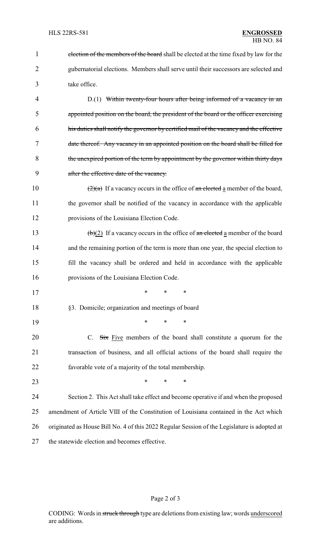| 1              | election of the members of the board shall be elected at the time fixed by law for the            |  |  |
|----------------|---------------------------------------------------------------------------------------------------|--|--|
| $\overline{2}$ | gubernatorial elections. Members shall serve until their successors are selected and              |  |  |
| 3              | take office.                                                                                      |  |  |
| 4              | D.(1) Within twenty-four hours after being informed of a vacancy in an                            |  |  |
| 5              | appointed position on the board, the president of the board or the officer exercising             |  |  |
| 6              | his duties shall notify the governor by certified mail of the vacancy and the effective           |  |  |
| 7              | date thereof. Any vacancy in an appointed position on the board shall be filled for               |  |  |
| 8              | the unexpired portion of the term by appointment by the governor within thirty days               |  |  |
| 9              | after the effective date of the vacancy.                                                          |  |  |
| 10             | $\left(\frac{2}{a}\right)$ If a vacancy occurs in the office of an elected a member of the board, |  |  |
| 11             | the governor shall be notified of the vacancy in accordance with the applicable                   |  |  |
| 12             | provisions of the Louisiana Election Code.                                                        |  |  |
| 13             | $\left(\frac{b}{2}\right)$ If a vacancy occurs in the office of an elected a member of the board  |  |  |
| 14             | and the remaining portion of the term is more than one year, the special election to              |  |  |
| 15             | fill the vacancy shall be ordered and held in accordance with the applicable                      |  |  |
| 16             | provisions of the Louisiana Election Code.                                                        |  |  |
| 17             | $\ast$<br>$\ast$<br>$\ast$                                                                        |  |  |
| 18             | §3. Domicile; organization and meetings of board                                                  |  |  |
| 19             | $\ast$<br>*<br>*                                                                                  |  |  |
| 20             | C. $\overrightarrow{Six}$ Five members of the board shall constitute a quorum for the             |  |  |
| 21             | transaction of business, and all official actions of the board shall require the                  |  |  |
| 22             | favorable vote of a majority of the total membership.                                             |  |  |
| 23             | $\ast$<br>*<br>*                                                                                  |  |  |
| 24             | Section 2. This Act shall take effect and become operative if and when the proposed               |  |  |
| 25             | amendment of Article VIII of the Constitution of Louisiana contained in the Act which             |  |  |
| 26             | originated as House Bill No. 4 of this 2022 Regular Session of the Legislature is adopted at      |  |  |
| 27             | the statewide election and becomes effective.                                                     |  |  |